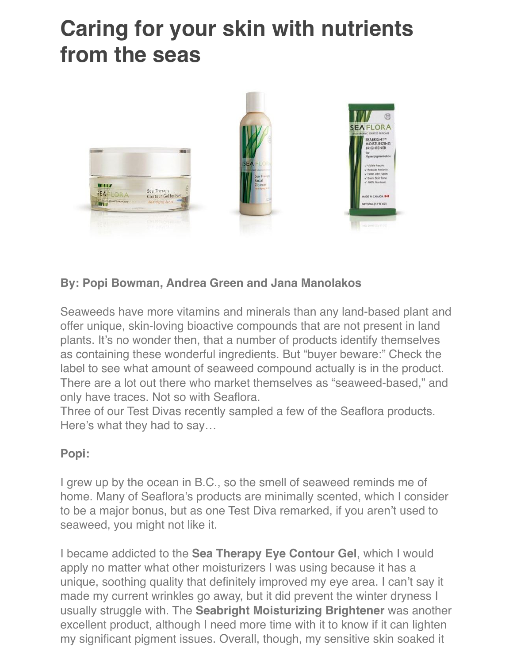# **Caring for your skin with nutrients from the seas**



# **By: Popi Bowman, Andrea Green and Jana Manolakos**

Seaweeds have more vitamins and minerals than any land-based plant and offer unique, skin-loving bioactive compounds that are not present in land plants. It's no wonder then, that a number of products identify themselves as containing these wonderful ingredients. But "buyer beware:" Check the label to see what amount of seaweed compound actually is in the product. There are a lot out there who market themselves as "seaweed-based," and only have traces. Not so with Seaflora.

Three of our Test Divas recently sampled a few of the Seaflora products. Here's what they had to say…

### **Popi:**

I grew up by the ocean in B.C., so the smell of seaweed reminds me of home. Many of Seaflora's products are minimally scented, which I consider to be a major bonus, but as one Test Diva remarked, if you aren't used to seaweed, you might not like it.

I became addicted to the **Sea Therapy Eye Contour Gel**, which I would apply no matter what other moisturizers I was using because it has a unique, soothing quality that definitely improved my eye area. I can't say it made my current wrinkles go away, but it did prevent the winter dryness I usually struggle with. The **Seabright Moisturizing Brightener** was another excellent product, although I need more time with it to know if it can lighten my significant pigment issues. Overall, though, my sensitive skin soaked it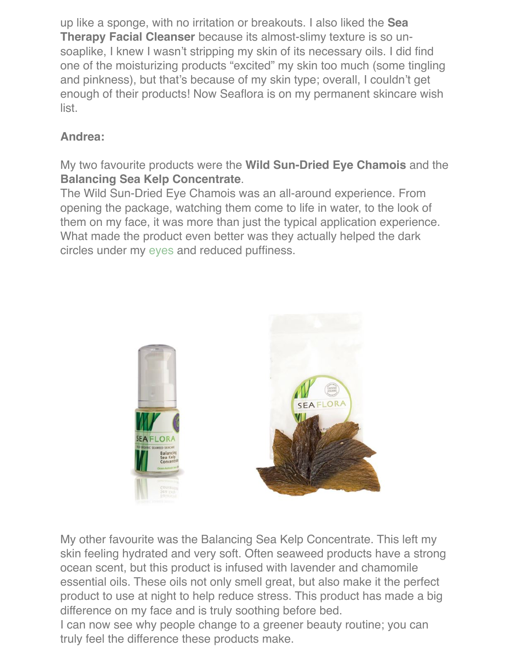up like a sponge, with no irritation or breakouts. I also liked the **Sea Therapy Facial Cleanser** because its almost-slimy texture is so unsoaplike, I knew I wasn't stripping my skin of its necessary oils. I did find one of the moisturizing products "excited" my skin too much (some tingling and pinkness), but that's because of my skin type; overall, I couldn't get enough of their products! Now Seaflora is on my permanent skincare wish list.

# **Andrea:**

My two favourite products were the **Wild Sun-Dried Eye Chamois** and the **Balancing Sea Kelp Concentrate**.

The Wild Sun-Dried Eye Chamois was an all-around experience. From opening the package, watching them come to life in water, to the look of them on my face, it was more than just the typical application experience. What made the product even better was they actually helped the dark circles under my [eyes](https://www.spainc.ca/techniques/eye-treatment/) and reduced puffiness.



My other favourite was the Balancing Sea Kelp Concentrate. This left my skin feeling hydrated and very soft. Often seaweed products have a strong ocean scent, but this product is infused with lavender and chamomile essential oils. These oils not only smell great, but also make it the perfect product to use at night to help reduce stress. This product has made a big difference on my face and is truly soothing before bed.

I can now see why people change to a greener beauty routine; you can truly feel the difference these products make.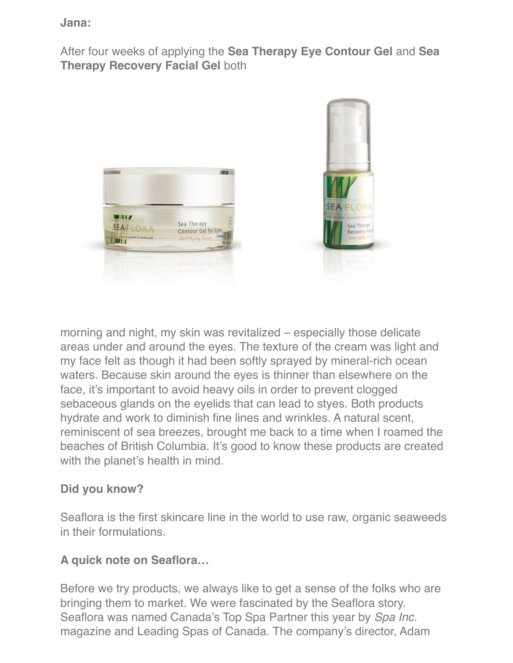#### **Jana:**

After four weeks of applying the **Sea Therapy Eye Contour Gel** and **Sea Therapy Recovery Facial Gel** both



morning and night, my skin was revitalized – especially those delicate areas under and around the eyes. The texture of the cream was light and my face felt as though it had been softly sprayed by mineral-rich ocean waters. Because skin around the eyes is thinner than elsewhere on the face, it's important to avoid heavy oils in order to prevent clogged sebaceous glands on the eyelids that can lead to styes. Both products hydrate and work to diminish fine lines and wrinkles. A natural scent, reminiscent of sea breezes, brought me back to a time when I roamed the beaches of British Columbia. It's good to know these products are created with the planet's health in mind.

## **Did you know?**

Seaflora is the first skincare line in the world to use raw, organic seaweeds in their formulations.

## **A quick note on Seaflora…**

Before we try products, we always like to get a sense of the folks who are bringing them to market. We were fascinated by the Seaflora story. Seaflora was named Canada's Top Spa Partner this year by *Spa Inc.*  magazine and Leading Spas of Canada. The company's director, Adam